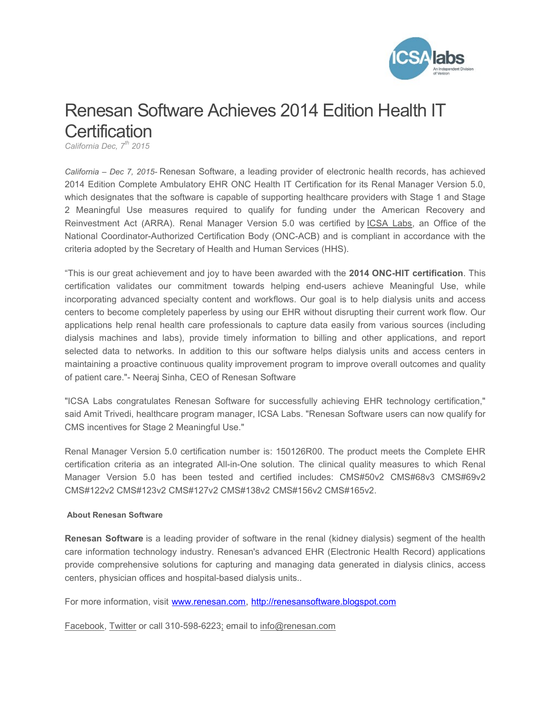

## Renesan Software Achieves 2014 Edition Health IT **Certification**

California Dec,  $7^{th}$  2015

California – Dec 7, 2015- Renesan Software, a leading provider of electronic health records, has achieved 2014 Edition Complete Ambulatory EHR ONC Health IT Certification for its Renal Manager Version 5.0, which designates that the software is capable of supporting healthcare providers with Stage 1 and Stage 2 Meaningful Use measures required to qualify for funding under the American Recovery and Reinvestment Act (ARRA). Renal Manager Version 5.0 was certified by ICSA Labs, an Office of the National Coordinator-Authorized Certification Body (ONC-ACB) and is compliant in accordance with the criteria adopted by the Secretary of Health and Human Services (HHS).

"This is our great achievement and joy to have been awarded with the 2014 ONC-HIT certification. This certification validates our commitment towards helping end-users achieve Meaningful Use, while incorporating advanced specialty content and workflows. Our goal is to help dialysis units and access centers to become completely paperless by using our EHR without disrupting their current work flow. Our applications help renal health care professionals to capture data easily from various sources (including dialysis machines and labs), provide timely information to billing and other applications, and report selected data to networks. In addition to this our software helps dialysis units and access centers in maintaining a proactive continuous quality improvement program to improve overall outcomes and quality of patient care."- Neeraj Sinha, CEO of Renesan Software

"ICSA Labs congratulates Renesan Software for successfully achieving EHR technology certification," said Amit Trivedi, healthcare program manager, ICSA Labs. "Renesan Software users can now qualify for CMS incentives for Stage 2 Meaningful Use."

Renal Manager Version 5.0 certification number is: 150126R00. The product meets the Complete EHR certification criteria as an integrated All-in-One solution. The clinical quality measures to which Renal Manager Version 5.0 has been tested and certified includes: CMS#50v2 CMS#68v3 CMS#69v2 CMS#122v2 CMS#123v2 CMS#127v2 CMS#138v2 CMS#156v2 CMS#165v2.

## About Renesan Software

Renesan Software is a leading provider of software in the renal (kidney dialysis) segment of the health care information technology industry. Renesan's advanced EHR (Electronic Health Record) applications provide comprehensive solutions for capturing and managing data generated in dialysis clinics, access centers, physician offices and hospital-based dialysis units..

For more information, visit www.renesan.com, http://renesansoftware.blogspot.com

Facebook, Twitter or call 310-598-6223; email to info@renesan.com